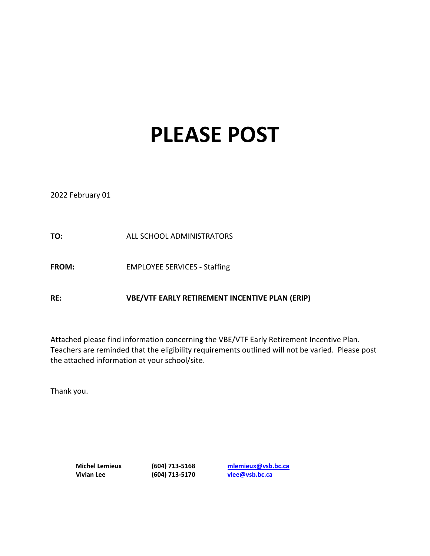## **PLEASE POST**

2022 February 01

**TO:** ALL SCHOOL ADMINISTRATORS

FROM: EMPLOYEE SERVICES - Staffing

**RE: VBE/VTF EARLY RETIREMENT INCENTIVE PLAN (ERIP)**

Attached please find information concerning the VBE/VTF Early Retirement Incentive Plan. Teachers are reminded that the eligibility requirements outlined will not be varied. Please post the attached information at your school/site.

Thank you.

**Michel Lemieux (604) 713-5168 [mlemieux@vsb.bc.ca](mailto:mlemieux@vsb.bc.ca) Vivian Lee (604) 713-5170 [vlee@vsb.bc.ca](mailto:mblais@vsb.bc.ca)**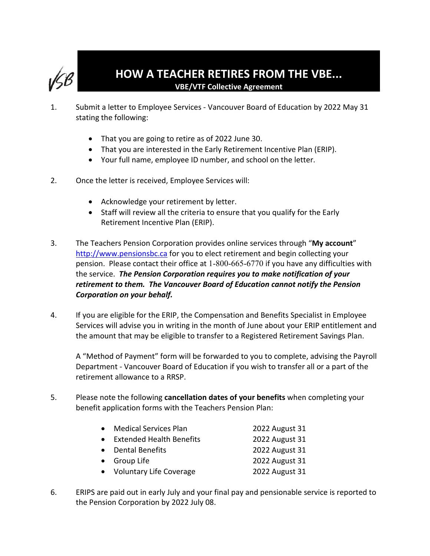

- 1. Submit a letter to Employee Services Vancouver Board of Education by 2022 May 31 stating the following:
	- That you are going to retire as of 2022 June 30.
	- That you are interested in the Early Retirement Incentive Plan (ERIP).
	- Your full name, employee ID number, and school on the letter.
- 2. Once the letter is received, Employee Services will:
	- Acknowledge your retirement by letter.
	- Staff will review all the criteria to ensure that you qualify for the Early Retirement Incentive Plan (ERIP).
- 3. The Teachers Pension Corporation provides online services through "**My account**" [http://www.pensionsbc.ca](http://www.pensionsbc.ca/) for you to elect retirement and begin collecting your pension. Please contact their office at 1-800-665-6770 if you have any difficulties with the service. *The Pension Corporation requires you to make notification of your retirement to them. The Vancouver Board of Education cannot notify the Pension Corporation on your behalf.*
- 4. If you are eligible for the ERIP, the Compensation and Benefits Specialist in Employee Services will advise you in writing in the month of June about your ERIP entitlement and the amount that may be eligible to transfer to a Registered Retirement Savings Plan.

A "Method of Payment" form will be forwarded to you to complete, advising the Payroll Department - Vancouver Board of Education if you wish to transfer all or a part of the retirement allowance to a RRSP.

5. Please note the following **cancellation dates of your benefits** when completing your benefit application forms with the Teachers Pension Plan:

| • Medical Services Plan    | 2022 August 31 |
|----------------------------|----------------|
| • Extended Health Benefits | 2022 August 31 |
| • Dental Benefits          | 2022 August 31 |
| • Group Life               | 2022 August 31 |
| • Voluntary Life Coverage  | 2022 August 31 |

6. ERIPS are paid out in early July and your final pay and pensionable service is reported to the Pension Corporation by 2022 July 08.